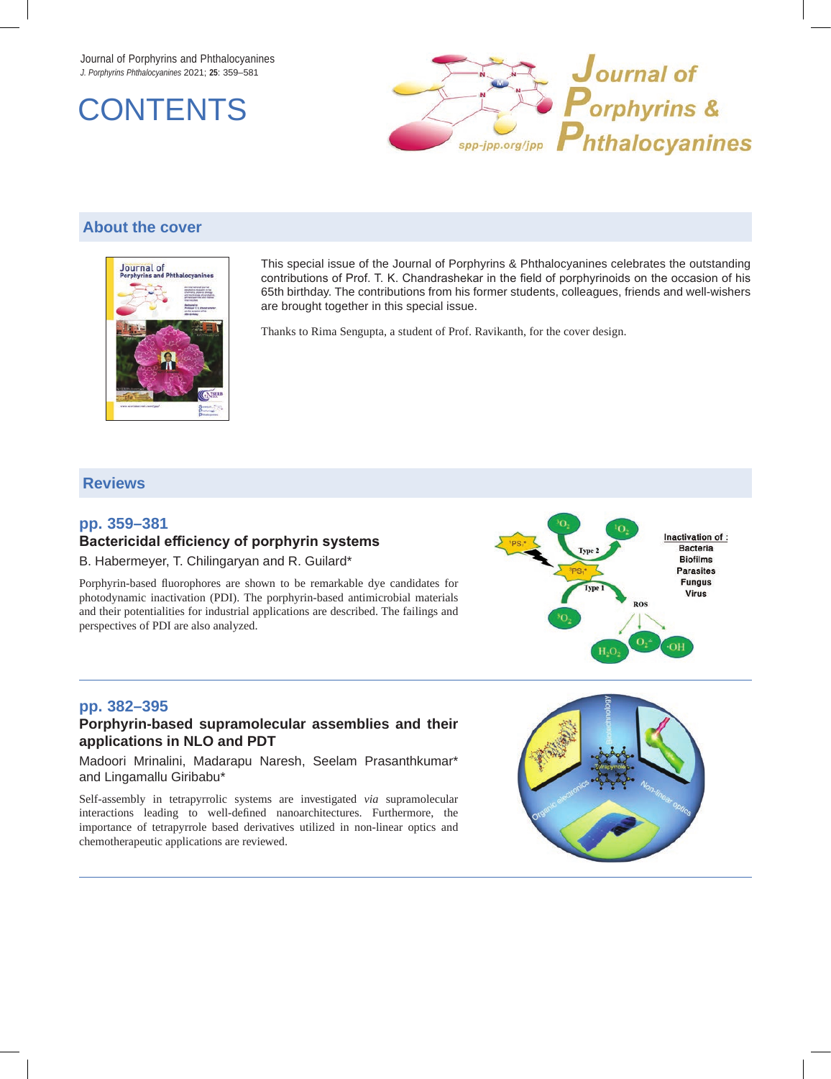Journal of Porphyrins and Phthalocyanines *J. Porphyrins Phthalocyanines* 2021; **25**: 359–581





# **About the cover**



This special issue of the Journal of Porphyrins & Phthalocyanines celebrates the outstanding contributions of Prof. T. K. Chandrashekar in the field of porphyrinoids on the occasion of his 65th birthday. The contributions from his former students, colleagues, friends and well-wishers are brought together in this special issue.

Thanks to Rima Sengupta, a student of Prof. Ravikanth, for the cover design.

# **Reviews**

# **pp. 359–381 Bactericidal efficiency of porphyrin systems**

B. Habermeyer, T. Chilingaryan and R. Guilard\*

Porphyrin-based fluorophores are shown to be remarkable dye candidates for photodynamic inactivation (PDI). The porphyrin-based antimicrobial materials and their potentialities for industrial applications are described. The failings and perspectives of PDI are also analyzed.



# **pp. 382–395**

### **Porphyrin-based supramolecular assemblies and their applications in NLO and PDT**

Madoori Mrinalini, Madarapu Naresh, Seelam Prasanthkumar\* and Lingamallu Giribabu\*

Self-assembly in tetrapyrrolic systems are investigated *via* supramolecular interactions leading to well-defined nanoarchitectures. Furthermore, the importance of tetrapyrrole based derivatives utilized in non-linear optics and chemotherapeutic applications are reviewed.

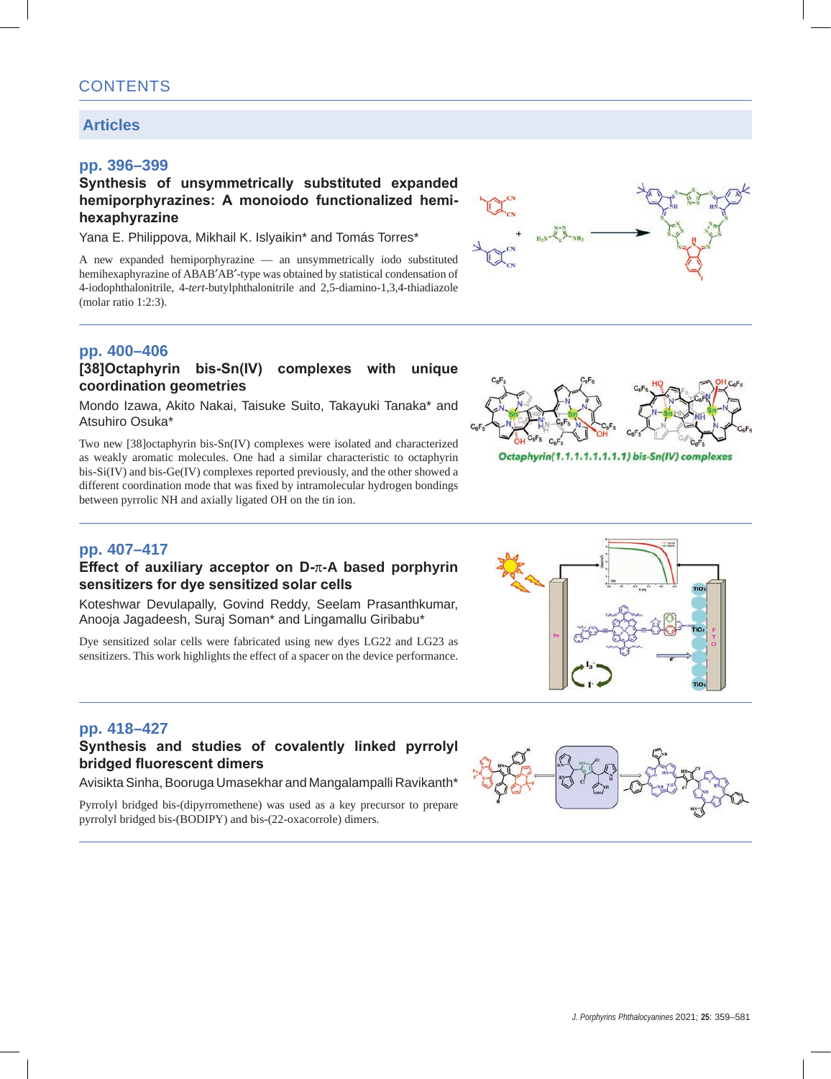# **Articles**

## **pp. 396–399**

## **Synthesis of unsymmetrically substituted expanded hemiporphyrazines: A monoiodo functionalized hemihexaphyrazine**

Yana E. Philippova, Mikhail K. Islyaikin\* and Tomás Torres\*

A new expanded hemiporphyrazine — an unsymmetrically iodo substituted hemihexaphyrazine of ABAB′AB′-type was obtained by statistical condensation of 4-iodophthalonitrile, 4-*tert*-butylphthalonitrile and 2,5-diamino-1,3,4-thiadiazole (molar ratio 1:2:3).

# **pp. 400–406**

#### **[38]Octaphyrin bis-Sn(IV) complexes with unique coordination geometries**

Mondo Izawa, Akito Nakai, Taisuke Suito, Takayuki Tanaka\* and Atsuhiro Osuka\*

Two new [38]octaphyrin bis-Sn(IV) complexes were isolated and characterized as weakly aromatic molecules. One had a similar characteristic to octaphyrin bis-Si(IV) and bis-Ge(IV) complexes reported previously, and the other showed a different coordination mode that was fixed by intramolecular hydrogen bondings between pyrrolic NH and axially ligated OH on the tin ion.



Octaphyrin(1.1.1.1.1.1.1.1) bis-Sn(IV) complexes

# **pp. 407–417**

### **Effect of auxiliary acceptor on D-**π**-A based porphyrin sensitizers for dye sensitized solar cells**

Koteshwar Devulapally, Govind Reddy, Seelam Prasanthkumar, Anooja Jagadeesh, Suraj Soman\* and Lingamallu Giribabu\*

Dye sensitized solar cells were fabricated using new dyes LG22 and LG23 as sensitizers. This work highlights the effect of a spacer on the device performance.



## **Synthesis and studies of covalently linked pyrrolyl bridged fluorescent dimers**

Avisikta Sinha, Booruga Umasekhar and Mangalampalli Ravikanth\*

Pyrrolyl bridged bis-(dipyrromethene) was used as a key precursor to prepare pyrrolyl bridged bis-(BODIPY) and bis-(22-oxacorrole) dimers.



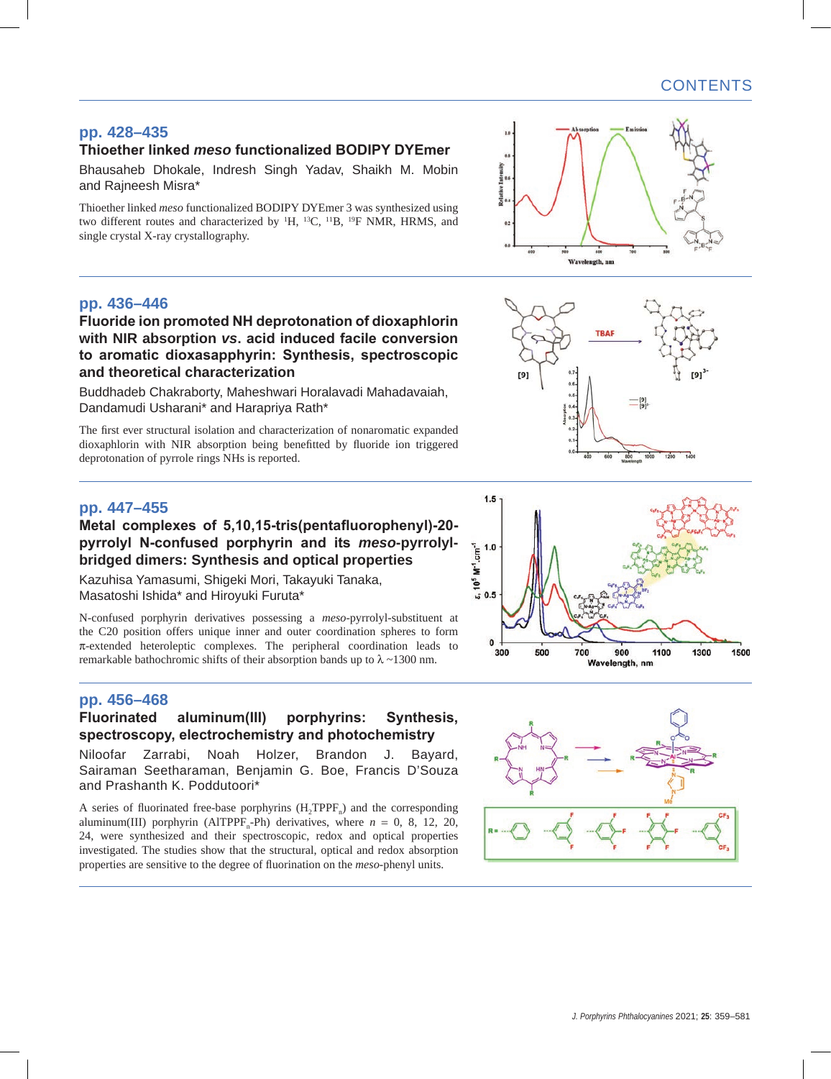# **pp. 428–435**

# **Thioether linked** *meso* **functionalized BODIPY DYEmer**

Bhausaheb Dhokale, Indresh Singh Yadav, Shaikh M. Mobin and Rajneesh Misra\*

Thioether linked *meso* functionalized BODIPY DYEmer 3 was synthesized using two different routes and characterized by <sup>1</sup>H, <sup>13</sup>C, <sup>11</sup>B, <sup>19</sup>F NMR, HRMS, and single crystal X-ray crystallography.

## **pp. 436–446**

**Fluoride ion promoted NH deprotonation of dioxaphlorin with NIR absorption** *vs***. acid induced facile conversion to aromatic dioxasapphyrin: Synthesis, spectroscopic and theoretical characterization**

Buddhadeb Chakraborty, Maheshwari Horalavadi Mahadavaiah, Dandamudi Usharani\* and Harapriya Rath\*

The first ever structural isolation and characterization of nonaromatic expanded dioxaphlorin with NIR absorption being benefitted by fluoride ion triggered deprotonation of pyrrole rings NHs is reported.

### **pp. 447–455**

## **Metal complexes of 5,10,15-tris(pentafluorophenyl)-20 pyrrolyl N-confused porphyrin and its** *meso***-pyrrolylbridged dimers: Synthesis and optical properties**

Kazuhisa Yamasumi, Shigeki Mori, Takayuki Tanaka, Masatoshi Ishida\* and Hiroyuki Furuta\*

N-confused porphyrin derivatives possessing a *meso*-pyrrolyl-substituent at the C20 position offers unique inner and outer coordination spheres to form π-extended heteroleptic complexes. The peripheral coordination leads to remarkable bathochromic shifts of their absorption bands up to  $\lambda \sim 1300$  nm.

## **pp. 456–468**

## **Fluorinated aluminum(III) porphyrins: Synthesis, spectroscopy, electrochemistry and photochemistry**

Niloofar Zarrabi, Noah Holzer, Brandon J. Bayard, Sairaman Seetharaman, Benjamin G. Boe, Francis D'Souza and Prashanth K. Poddutoori\*

A series of fluorinated free-base porphyrins  $(H_1TPPF_n)$  and the corresponding aluminum(III) porphyrin (AlTPPF<sub>n</sub>-Ph) derivatives, where  $n = 0, 8, 12, 20$ , 24, were synthesized and their spectroscopic, redox and optical properties investigated. The studies show that the structural, optical and redox absorption properties are sensitive to the degree of fluorination on the *meso*-phenyl units.







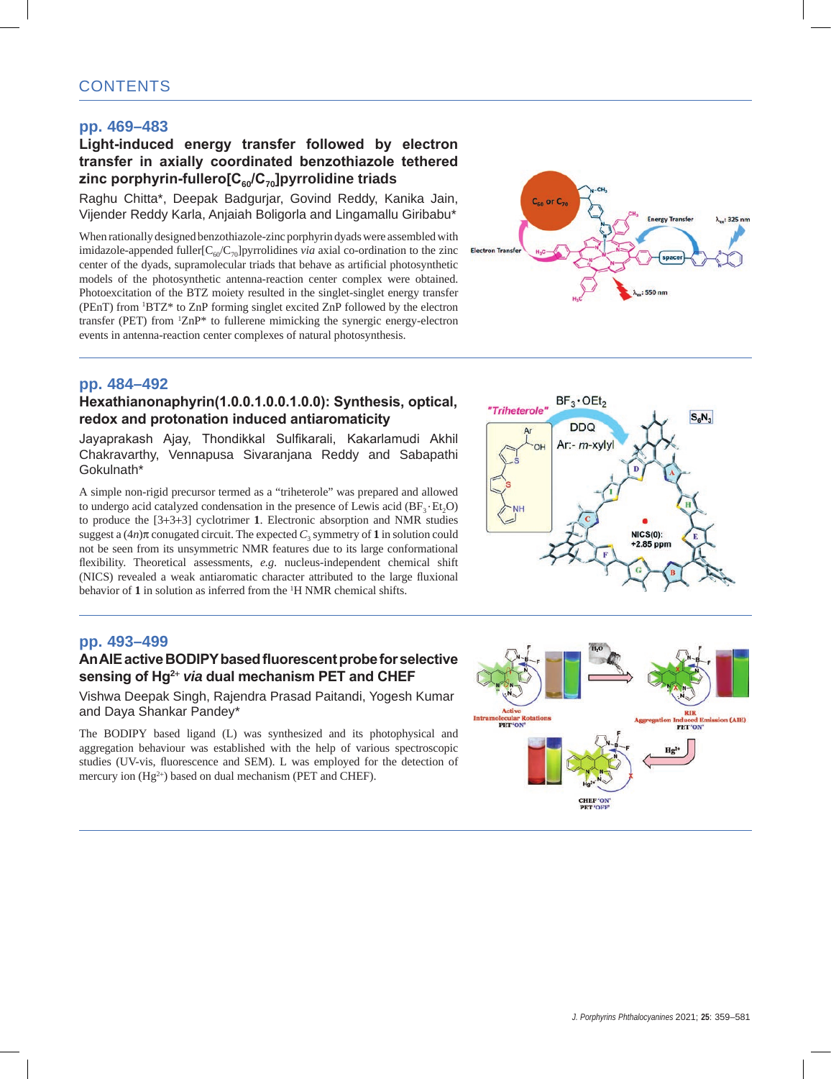# **CONTENTS**

## **pp. 469–483**

## **Light-induced energy transfer followed by electron transfer in axially coordinated benzothiazole tethered zinc porphyrin-fullero[C60/C70]pyrrolidine triads**

Raghu Chitta\*, Deepak Badgurjar, Govind Reddy, Kanika Jain, Vijender Reddy Karla, Anjaiah Boligorla and Lingamallu Giribabu\*

When rationally designed benzothiazole-zinc porphyrin dyads were assembled with imidazole-appended fuller $[C_{60}/C_{70}]$ pyrrolidines *via* axial co-ordination to the zinc center of the dyads, supramolecular triads that behave as artificial photosynthetic models of the photosynthetic antenna-reaction center complex were obtained. Photoexcitation of the BTZ moiety resulted in the singlet-singlet energy transfer (PEnT) from 1 BTZ\* to ZnP forming singlet excited ZnP followed by the electron transfer (PET) from 1 ZnP\* to fullerene mimicking the synergic energy-electron events in antenna-reaction center complexes of natural photosynthesis.



## **pp. 484–492**

### **Hexathianonaphyrin(1.0.0.1.0.0.1.0.0): Synthesis, optical, redox and protonation induced antiaromaticity**

Jayaprakash Ajay, Thondikkal Sulfikarali, Kakarlamudi Akhil Chakravarthy, Vennapusa Sivaranjana Reddy and Sabapathi Gokulnath\*

A simple non-rigid precursor termed as a "triheterole" was prepared and allowed to undergo acid catalyzed condensation in the presence of Lewis acid  $(BF_3 \cdot Et_2O)$ to produce the [3+3+3] cyclotrimer **1**. Electronic absorption and NMR studies suggest a  $(4n)\pi$  conugated circuit. The expected  $C_3$  symmetry of 1 in solution could not be seen from its unsymmetric NMR features due to its large conformational flexibility. Theoretical assessments, *e.g*. nucleus-independent chemical shift (NICS) revealed a weak antiaromatic character attributed to the large fluxional behavior of 1 in solution as inferred from the <sup>1</sup>H NMR chemical shifts.

## **pp. 493–499**

## **An AIE active BODIPY based fluorescent probe for selective sensing of Hg<sup>2</sup><sup>+</sup>** *via* **dual mechanism PET and CHEF**

Vishwa Deepak Singh, Rajendra Prasad Paitandi, Yogesh Kumar and Daya Shankar Pandey\*

The BODIPY based ligand (L) was synthesized and its photophysical and aggregation behaviour was established with the help of various spectroscopic studies (UV-vis, fluorescence and SEM). L was employed for the detection of mercury ion (Hg<sup>2+</sup>) based on dual mechanism (PET and CHEF).



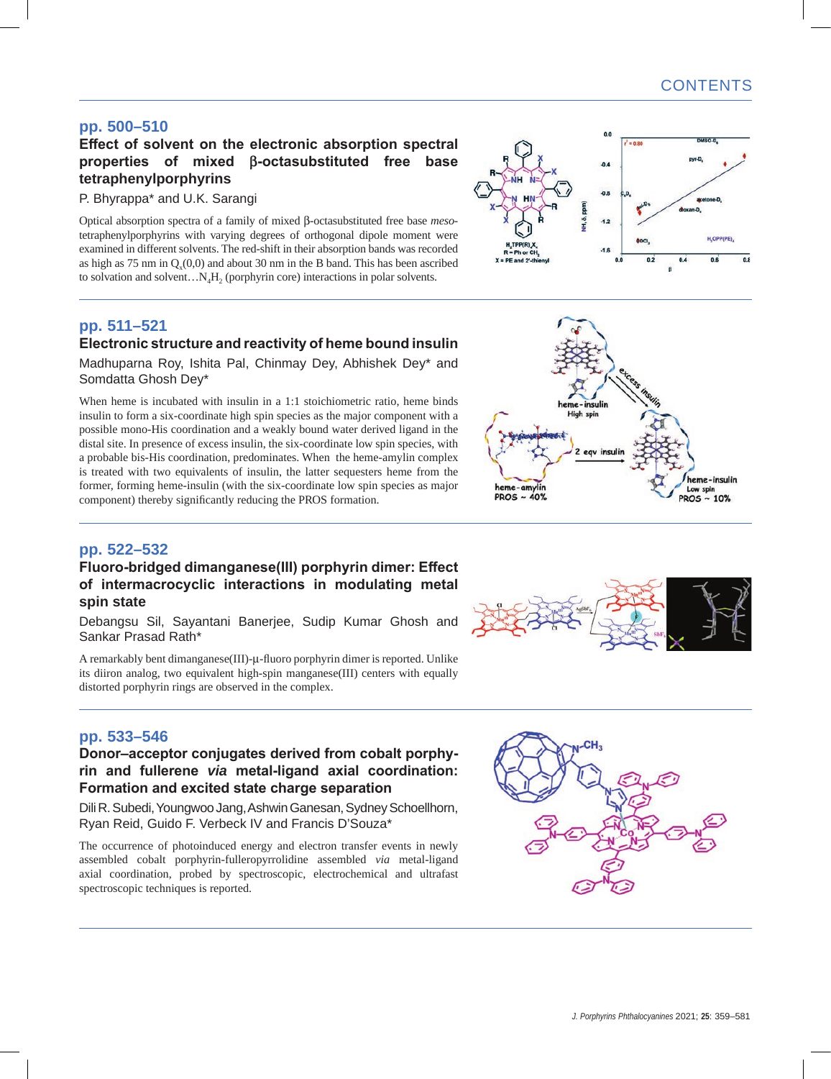# **pp. 500–510**

# **Effect of solvent on the electronic absorption spectral properties of mixed β-octasubstituted free base tetraphenylporphyrins**

#### P. Bhyrappa\* and U.K. Sarangi

Optical absorption spectra of a family of mixed β-octasubstituted free base *meso*tetraphenylporphyrins with varying degrees of orthogonal dipole moment were examined in different solvents. The red-shift in their absorption bands was recorded as high as  $75 \text{ nm}$  in  $Q<sub>v</sub>(0,0)$  and about 30 nm in the B band. This has been ascribed to solvation and solvent... $N_AH_2$  (porphyrin core) interactions in polar solvents.

## **pp. 511–521 Electronic structure and reactivity of heme bound insulin**

Madhuparna Roy, Ishita Pal, Chinmay Dey, Abhishek Dey\* and Somdatta Ghosh Dey\*

When heme is incubated with insulin in a 1:1 stoichiometric ratio, heme binds insulin to form a six-coordinate high spin species as the major component with a possible mono-His coordination and a weakly bound water derived ligand in the distal site. In presence of excess insulin, the six-coordinate low spin species, with a probable bis-His coordination, predominates. When the heme-amylin complex is treated with two equivalents of insulin, the latter sequesters heme from the former, forming heme-insulin (with the six-coordinate low spin species as major component) thereby significantly reducing the PROS formation.

# **pp. 522–532**

## **Fluoro-bridged dimanganese(III) porphyrin dimer: Effect of intermacrocyclic interactions in modulating metal spin state**

Debangsu Sil, Sayantani Banerjee, Sudip Kumar Ghosh and Sankar Prasad Rath\*

A remarkably bent dimanganese(III)-μ-fluoro porphyrin dimer is reported. Unlike its diiron analog, two equivalent high-spin manganese(III) centers with equally distorted porphyrin rings are observed in the complex.



## **Donor–acceptor conjugates derived from cobalt porphyrin and fullerene** *via* **metal-ligand axial coordination: Formation and excited state charge separation**

Dili R. Subedi, Youngwoo Jang, Ashwin Ganesan, Sydney Schoellhorn, Ryan Reid, Guido F. Verbeck IV and Francis D'Souza\*

The occurrence of photoinduced energy and electron transfer events in newly assembled cobalt porphyrin-fulleropyrrolidine assembled *via* metal-ligand axial coordination, probed by spectroscopic, electrochemical and ultrafast spectroscopic techniques is reported.